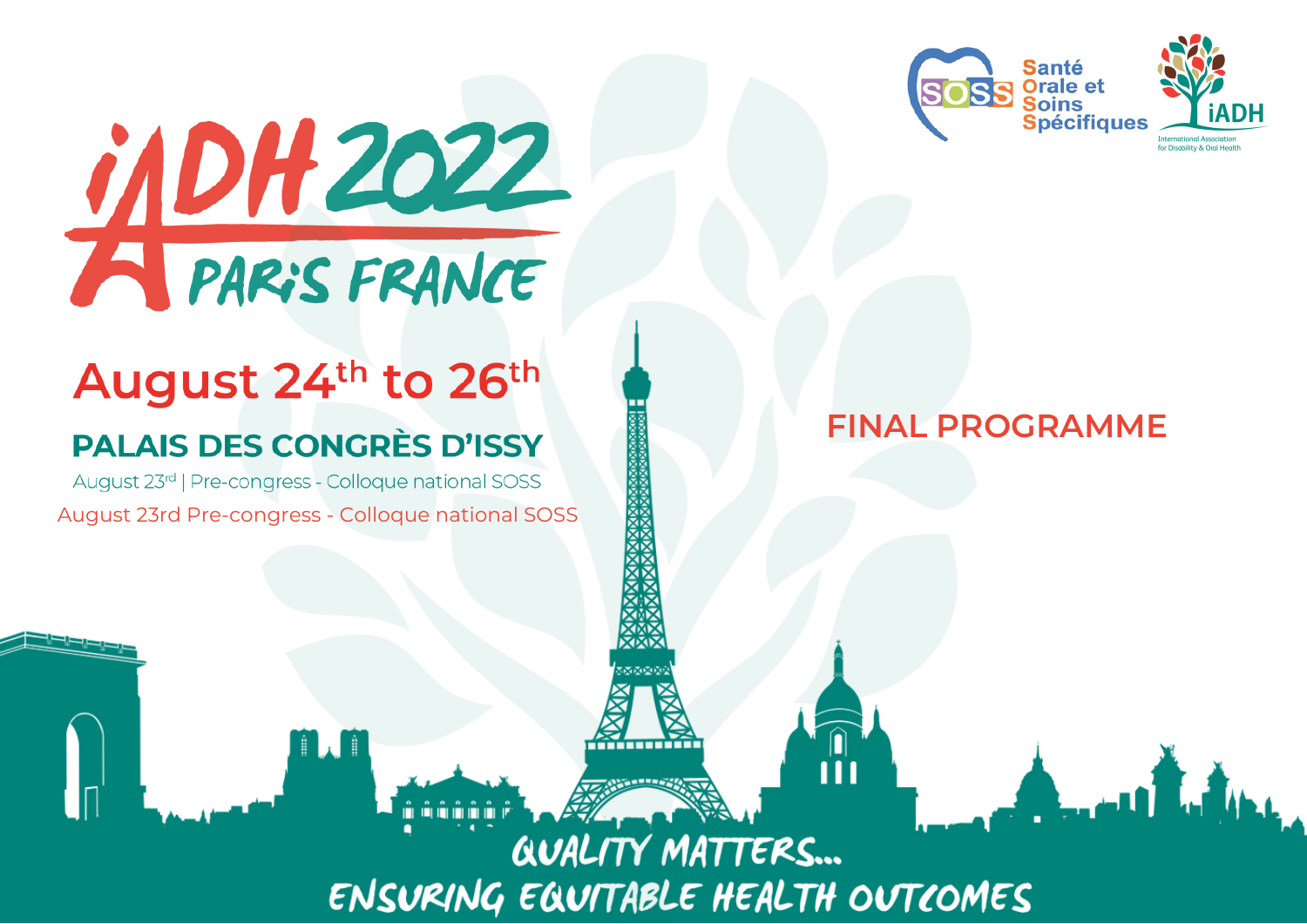



# August 24th to 26th

## **PALAIS DES CONGRÈS D'ISSY**

August 23rd | Pre-congress - Colloque national SOSS August 23rd Pre-congress - Colloque national SOSS

T. T

**FINAL PROGRAMME**

*QUALITY MATTERS...* ENSURING EQUITABLE HEALTH OUTCOMES

<del>mmmm</del>

| ||<br>| || |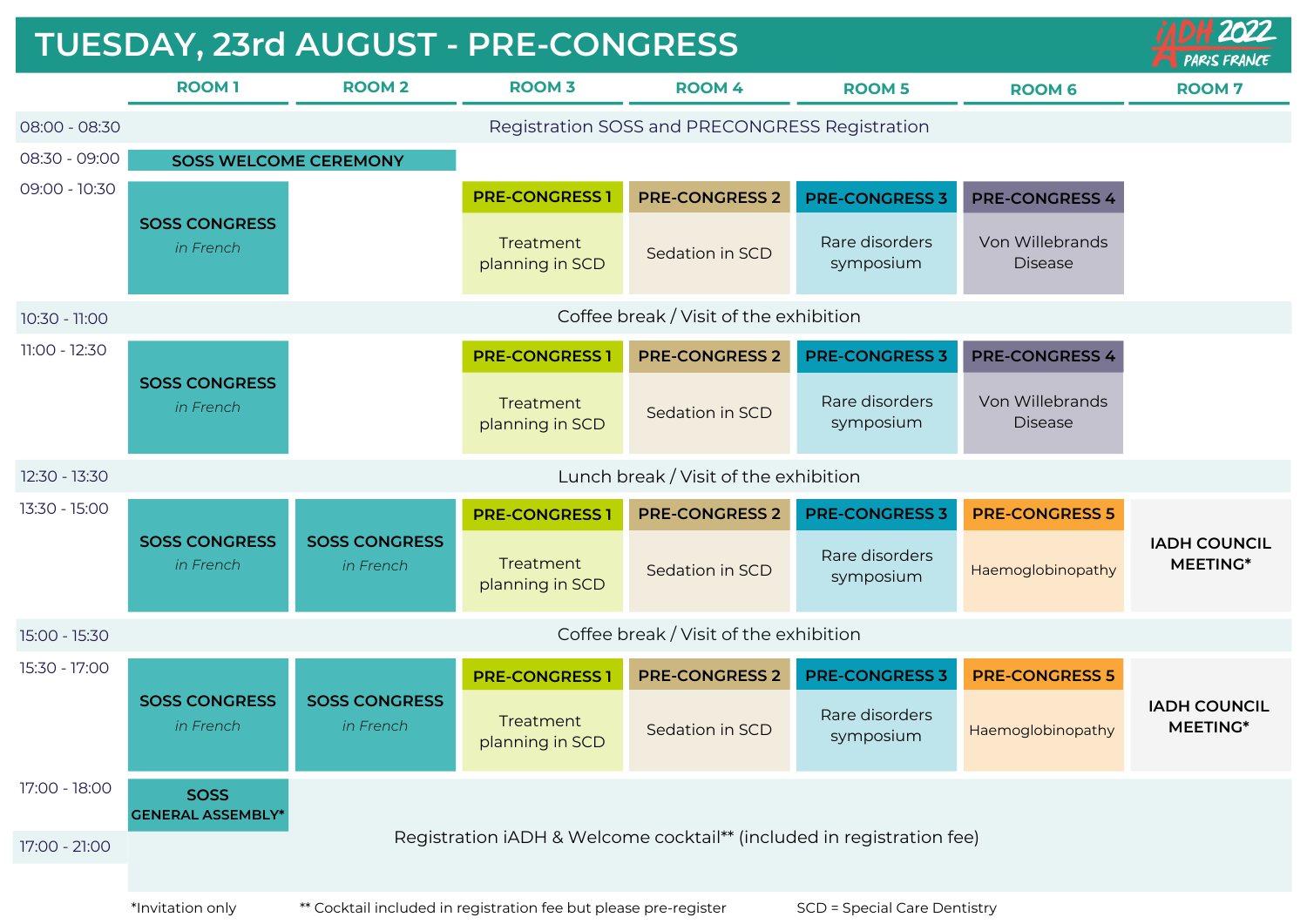|               | TUESDAY, 23rd AUGUST - PRE-CONGRESS            |                                                                       |                                                                  |                                        | 2112022<br><b>PARIS FRANCE</b>      |                                   |                                        |
|---------------|------------------------------------------------|-----------------------------------------------------------------------|------------------------------------------------------------------|----------------------------------------|-------------------------------------|-----------------------------------|----------------------------------------|
|               | <b>ROOM1</b>                                   | <b>ROOM2</b>                                                          | <b>ROOM 3</b>                                                    | <b>ROOM 4</b>                          | <b>ROOM 5</b>                       | <b>ROOM 6</b>                     | <b>ROOM7</b>                           |
| 08:00 - 08:30 | Registration SOSS and PRECONGRESS Registration |                                                                       |                                                                  |                                        |                                     |                                   |                                        |
| 08:30 - 09:00 | <b>SOSS WELCOME CEREMONY</b>                   |                                                                       |                                                                  |                                        |                                     |                                   |                                        |
| 09:00 - 10:30 |                                                |                                                                       | <b>PRE-CONGRESS1</b>                                             | <b>PRE-CONGRESS 2</b>                  | <b>PRE-CONGRESS 3</b>               | <b>PRE-CONGRESS 4</b>             |                                        |
|               | <b>SOSS CONGRESS</b><br>in French              |                                                                       | Treatment<br>planning in SCD                                     | Sedation in SCD                        | Rare disorders<br>symposium         | Von Willebrands<br><b>Disease</b> |                                        |
| 10:30 - 11:00 |                                                |                                                                       |                                                                  | Coffee break / Visit of the exhibition |                                     |                                   |                                        |
| 11:00 - 12:30 | <b>SOSS CONGRESS</b><br>in French              |                                                                       | <b>PRE-CONGRESS1</b>                                             | <b>PRE-CONGRESS 2</b>                  | <b>PRE-CONGRESS 3</b>               | <b>PRE-CONGRESS 4</b>             |                                        |
|               |                                                |                                                                       | Treatment<br>planning in SCD                                     | Sedation in SCD                        | Rare disorders<br>symposium         | Von Willebrands<br><b>Disease</b> |                                        |
| 12:30 - 13:30 |                                                |                                                                       |                                                                  | Lunch break / Visit of the exhibition  |                                     |                                   |                                        |
| 13:30 - 15:00 |                                                |                                                                       | <b>PRE-CONGRESS1</b>                                             | <b>PRE-CONGRESS 2</b>                  | <b>PRE-CONGRESS 3</b>               | <b>PRE-CONGRESS 5</b>             |                                        |
|               | <b>SOSS CONGRESS</b><br>in French              | <b>SOSS CONGRESS</b><br>in French                                     | Treatment<br>planning in SCD                                     | Sedation in SCD                        | Rare disorders<br>symposium         | Haemoglobinopathy                 | <b>IADH COUNCIL</b><br><b>MEETING*</b> |
| 15:00 - 15:30 | Coffee break / Visit of the exhibition         |                                                                       |                                                                  |                                        |                                     |                                   |                                        |
| 15:30 - 17:00 |                                                |                                                                       | <b>PRE-CONGRESS1</b>                                             | <b>PRE-CONGRESS 2</b>                  | <b>PRE-CONGRESS 3</b>               | <b>PRE-CONGRESS 5</b>             |                                        |
|               | <b>SOSS CONGRESS</b><br>in French              | <b>SOSS CONGRESS</b><br>in French                                     | Treatment<br>planning in SCD                                     | Sedation in SCD                        | Rare disorders<br>symposium         | Haemoglobinopathy                 | <b>IADH COUNCIL</b><br>MEETING*        |
| 17:00 - 18:00 | <b>SOSS</b><br><b>GENERAL ASSEMBLY*</b>        |                                                                       |                                                                  |                                        |                                     |                                   |                                        |
| 17:00 - 21:00 |                                                | Registration iADH & Welcome cocktail** (included in registration fee) |                                                                  |                                        |                                     |                                   |                                        |
|               | *Invitation only                               |                                                                       | ** Cocktail included in registration fee but please pre-register |                                        | <b>SCD = Special Care Dentistry</b> |                                   |                                        |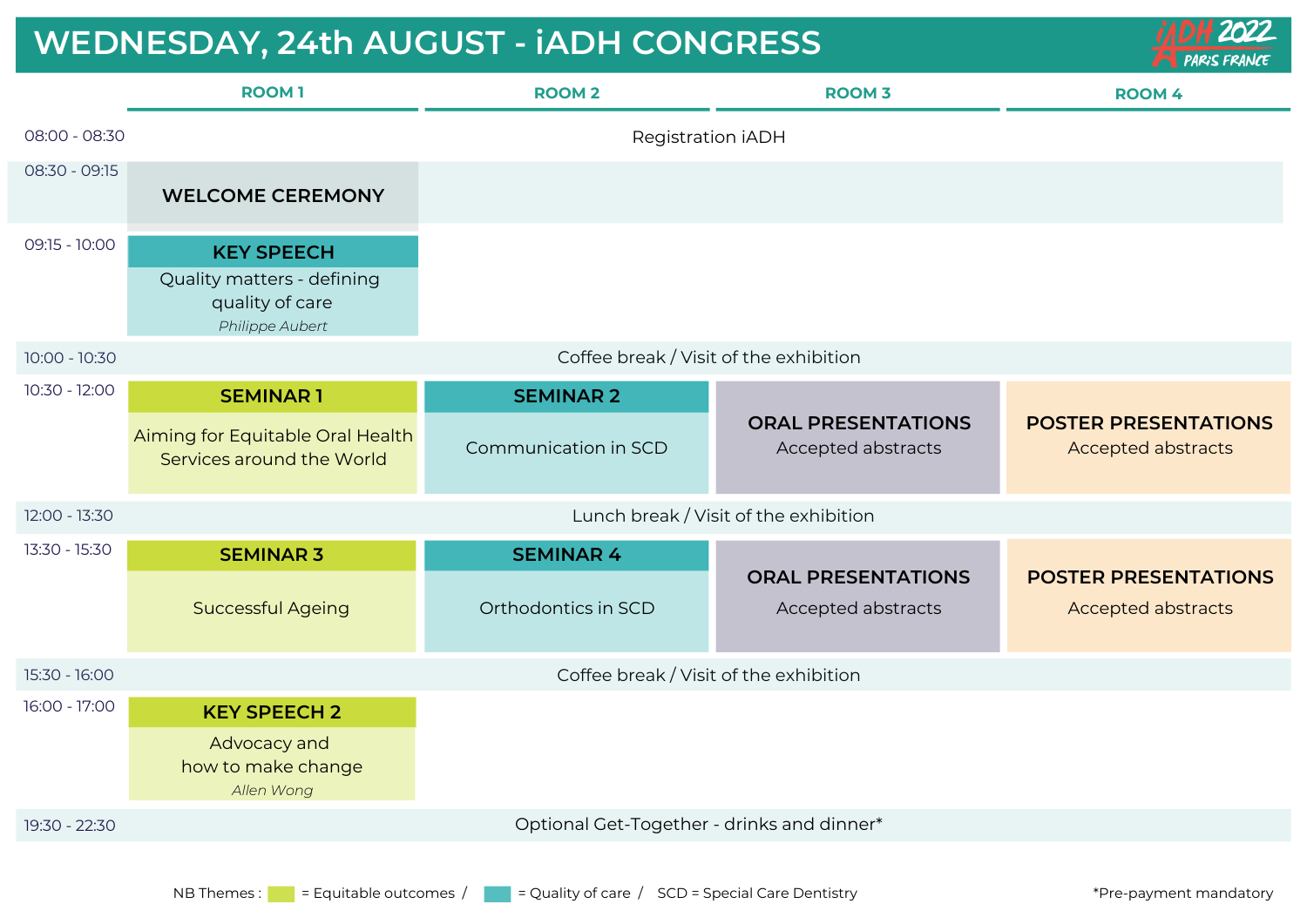### **WEDNESDAY, 24th AUGUST - iADH CONGRESS**

|               | <b>ROOM1</b>                                                                          | <b>ROOM 2</b>                           | <b>ROOM 3</b>                                   | <b>ROOM 4</b>                                            |  |
|---------------|---------------------------------------------------------------------------------------|-----------------------------------------|-------------------------------------------------|----------------------------------------------------------|--|
| 08:00 - 08:30 |                                                                                       | Registration iADH                       |                                                 |                                                          |  |
| 08:30 - 09:15 | <b>WELCOME CEREMONY</b>                                                               |                                         |                                                 |                                                          |  |
| 09:15 - 10:00 | <b>KEY SPEECH</b><br>Quality matters - defining<br>quality of care<br>Philippe Aubert |                                         |                                                 |                                                          |  |
| 10:00 - 10:30 | Coffee break / Visit of the exhibition                                                |                                         |                                                 |                                                          |  |
| 10:30 - 12:00 | <b>SEMINAR1</b>                                                                       | <b>SEMINAR 2</b>                        |                                                 |                                                          |  |
|               | Aiming for Equitable Oral Health<br>Services around the World                         | Communication in SCD                    | <b>ORAL PRESENTATIONS</b><br>Accepted abstracts | <b>POSTER PRESENTATIONS</b><br><b>Accepted abstracts</b> |  |
| 12:00 - 13:30 | Lunch break / Visit of the exhibition                                                 |                                         |                                                 |                                                          |  |
| 13:30 - 15:30 | <b>SEMINAR 3</b><br><b>Successful Ageing</b>                                          | <b>SEMINAR 4</b><br>Orthodontics in SCD | <b>ORAL PRESENTATIONS</b><br>Accepted abstracts | <b>POSTER PRESENTATIONS</b><br><b>Accepted abstracts</b> |  |
| 15:30 - 16:00 | Coffee break / Visit of the exhibition                                                |                                         |                                                 |                                                          |  |
| 16:00 - 17:00 | <b>KEY SPEECH 2</b><br>Advocacy and<br>how to make change<br>Allen Wong               |                                         |                                                 |                                                          |  |
| 19:30 - 22:30 | Optional Get-Together - drinks and dinner*                                            |                                         |                                                 |                                                          |  |

 $2022$ 

**PARIS FRANCE**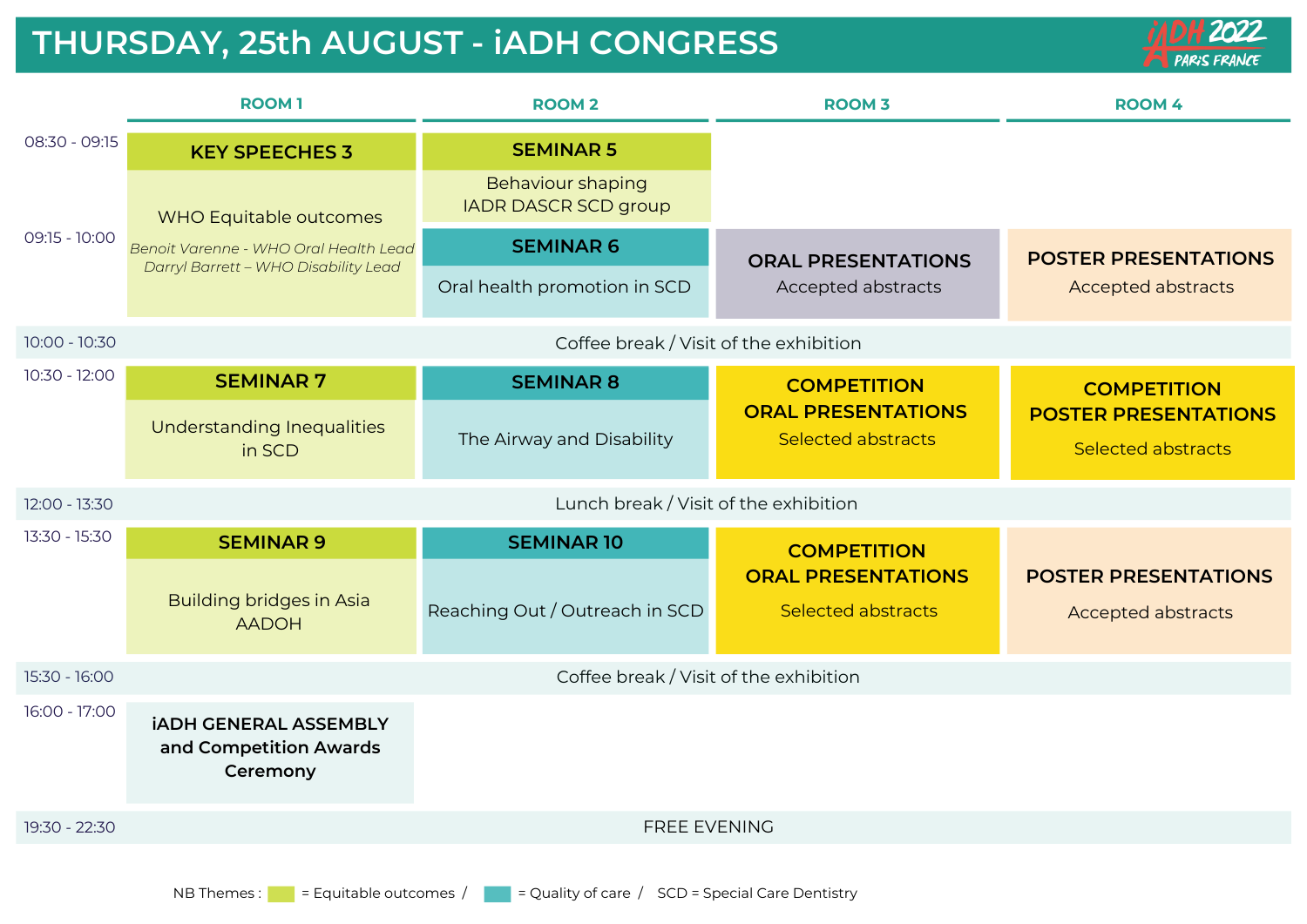#### **THURSDAY, 25th AUGUST - iADH CONGRESS**



|                 | <b>ROOM1</b>                                                                  | <b>ROOM 2</b>                                           | <b>ROOM 3</b>                                          | <b>ROOM 4</b>                                                                  |  |  |
|-----------------|-------------------------------------------------------------------------------|---------------------------------------------------------|--------------------------------------------------------|--------------------------------------------------------------------------------|--|--|
| 08:30 - 09:15   | <b>KEY SPEECHES 3</b>                                                         | <b>SEMINAR 5</b>                                        |                                                        |                                                                                |  |  |
| 09:15 - 10:00   | WHO Equitable outcomes                                                        | <b>Behaviour shaping</b><br><b>IADR DASCR SCD group</b> |                                                        |                                                                                |  |  |
|                 | Benoit Varenne - WHO Oral Health Lead<br>Darryl Barrett - WHO Disability Lead | <b>SEMINAR 6</b>                                        | <b>ORAL PRESENTATIONS</b>                              | <b>POSTER PRESENTATIONS</b>                                                    |  |  |
|                 |                                                                               | Oral health promotion in SCD                            | Accepted abstracts                                     | <b>Accepted abstracts</b>                                                      |  |  |
| $10:00 - 10:30$ | Coffee break / Visit of the exhibition                                        |                                                         |                                                        |                                                                                |  |  |
| $10:30 - 12:00$ | <b>SEMINAR 7</b>                                                              | <b>SEMINAR 8</b>                                        | <b>COMPETITION</b>                                     | <b>COMPETITION</b><br><b>POSTER PRESENTATIONS</b><br><b>Selected abstracts</b> |  |  |
|                 | <b>Understanding Inequalities</b><br>in SCD                                   | The Airway and Disability                               | <b>ORAL PRESENTATIONS</b><br><b>Selected abstracts</b> |                                                                                |  |  |
| 12:00 - 13:30   | Lunch break / Visit of the exhibition                                         |                                                         |                                                        |                                                                                |  |  |
| 13:30 - 15:30   | <b>SEMINAR 9</b>                                                              | <b>SEMINAR 10</b>                                       | <b>COMPETITION</b>                                     |                                                                                |  |  |
|                 | <b>Building bridges in Asia</b><br><b>AADOH</b>                               | Reaching Out / Outreach in SCD                          | <b>ORAL PRESENTATIONS</b><br>Selected abstracts        | <b>POSTER PRESENTATIONS</b><br><b>Accepted abstracts</b>                       |  |  |
| 15:30 - 16:00   | Coffee break / Visit of the exhibition                                        |                                                         |                                                        |                                                                                |  |  |
| 16:00 - 17:00   | <b>İADH GENERAL ASSEMBLY</b><br>and Competition Awards<br>Ceremony            |                                                         |                                                        |                                                                                |  |  |
| 19:30 - 22:30   | FREE EVENING                                                                  |                                                         |                                                        |                                                                                |  |  |